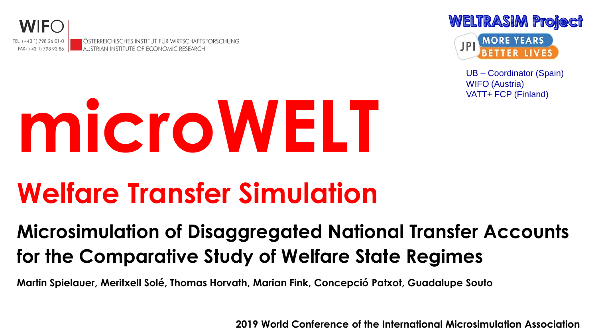

ÖSTERREICHISCHES INSTITUT FÜR WIRTSCHAFTSFORSCHUNG AUSTRIAN INSTITUTE OF ECONOMIC RESEARCH





UB – Coordinator (Spain) WIFO (Austria) VATT+ FCP (Finland)

# **microWELT**

## **Welfare Transfer Simulation**

### **Microsimulation of Disaggregated National Transfer Accounts for the Comparative Study of Welfare State Regimes**

**Martin Spielauer, Meritxell Solé, Thomas Horvath, Marian Fink, Concepció Patxot, Guadalupe Souto**

**2019 World Conference of the International Microsimulation Association**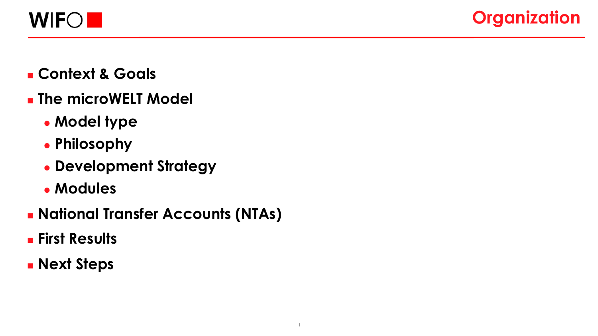

- <sup>◼</sup> **Context & Goals**
- <sup>◼</sup> **The microWELT Model**
	- ⚫ **Model type**
	- ⚫ **Philosophy**
	- ⚫ **Development Strategy**
	- ⚫ **Modules**
- **National Transfer Accounts (NTAs)**
- <sup>◼</sup> **First Results**
- Next Steps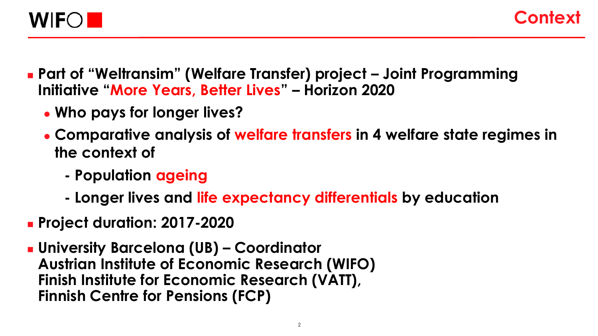



- <sup>◼</sup> **Part of "Weltransim" (Welfare Transfer) project – Joint Programming Initiative "More Years, Better Lives" – Horizon 2020**
	- ⚫ **Who pays for longer lives?**
	- ⚫ **Comparative analysis of welfare transfers in 4 welfare state regimes in the context of**
		- **- Population ageing**
		- **- Longer lives and life expectancy differentials by education**
- **Project duration: 2017-2020**
- <sup>◼</sup> **University Barcelona (UB) – Coordinator Austrian Institute of Economic Research (WIFO) Finish Institute for Economic Research (VATT), Finnish Centre for Pensions (FCP)**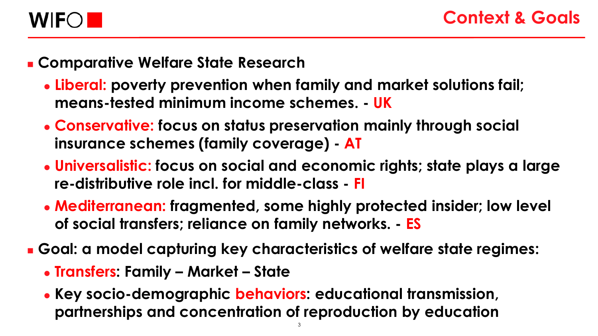

- <sup>◼</sup> **Comparative Welfare State Research**
	- ⚫ **Liberal: poverty prevention when family and market solutions fail; means-tested minimum income schemes. - UK**
	- ⚫ **Conservative: focus on status preservation mainly through social insurance schemes (family coverage) - AT**
	- ⚫ **Universalistic: focus on social and economic rights; state plays a large re-distributive role incl. for middle-class - FI**
	- ⚫ **Mediterranean: fragmented, some highly protected insider; low level of social transfers; reliance on family networks. - ES**

■ Goal: a model capturing key characteristics of welfare state regimes:

- ⚫ **Transfers: Family – Market – State**
- ⚫ **Key socio-demographic behaviors: educational transmission, partnerships and concentration of reproduction by education**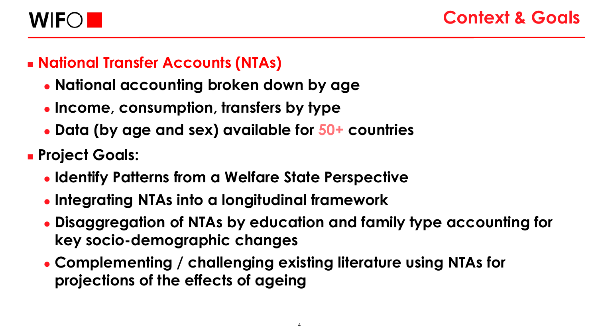

#### <sup>◼</sup> **National Transfer Accounts (NTAs)**

- ⚫ **National accounting broken down by age**
- ⚫ **Income, consumption, transfers by type**
- ⚫ **Data (by age and sex) available for 50+ countries**
- <sup>◼</sup> **Project Goals:**
	- ⚫ **Identify Patterns from a Welfare State Perspective**
	- ⚫ **Integrating NTAs into a longitudinal framework**
	- ⚫ **Disaggregation of NTAs by education and family type accounting for key socio-demographic changes**
	- ⚫ **Complementing / challenging existing literature using NTAs for projections of the effects of ageing**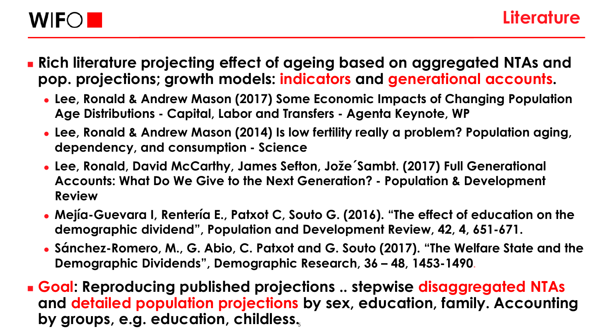

- <sup>◼</sup> **Rich literature projecting effect of ageing based on aggregated NTAs and pop. projections; growth models: indicators and generational accounts.**
	- ⚫ **Lee, Ronald & Andrew Mason (2017) Some Economic Impacts of Changing Population Age Distributions - Capital, Labor and Transfers - Agenta Keynote, WP**
	- ⚫ **Lee, Ronald & Andrew Mason (2014) Is low fertility really a problem? Population aging, dependency, and consumption - Science**
	- ⚫ **Lee, Ronald, David McCarthy, James Sefton, Jože´Sambt. (2017) Full Generational Accounts: What Do We Give to the Next Generation? - Population & Development Review**
	- ⚫ **Mejía-Guevara I, Rentería E., Patxot C, Souto G. (2016). "The effect of education on the demographic dividend", Population and Development Review, 42, 4, 651-671.**
	- ⚫ **Sánchez-Romero, M., G. Abio, C. Patxot and G. Souto (2017). "The Welfare State and the Demographic Dividends", Demographic Research, 36 – 48, 1453-1490.**

5 **by groups, e.g. education, childless.**<sup>◼</sup> **Goal: Reproducing published projections .. stepwise disaggregated NTAs and detailed population projections by sex, education, family. Accounting**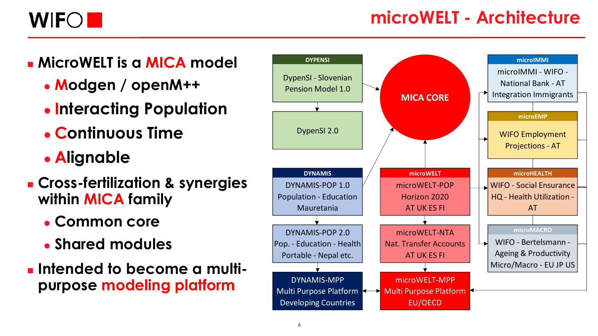

- <sup>◼</sup> **MicroWELT is a MICA model**
	- ⚫ **Modgen / openM++**
	- ⚫ **Interacting Population**
	- ⚫ **Continuous Time**
	- ⚫ **Alignable**
- <sup>◼</sup> **Cross-fertilization & synergies within MICA family**
	- ⚫ **Common core**
	- ⚫ **Shared modules**
- <sup>◼</sup> **Intended to become a multipurpose modeling platform**

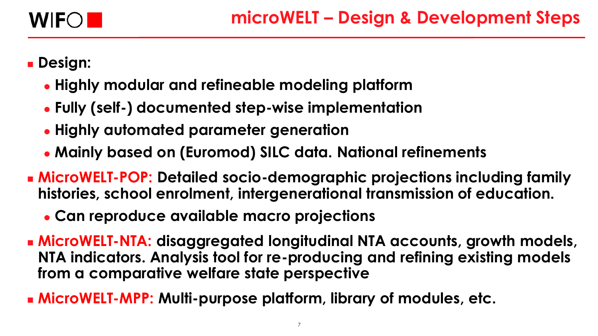

- Design:
	- ⚫ **Highly modular and refineable modeling platform**
	- ⚫ **Fully (self-) documented step-wise implementation**
	- ⚫ **Highly automated parameter generation**
	- ⚫ **Mainly based on (Euromod) SILC data. National refinements**
- <sup>◼</sup> **MicroWELT-POP: Detailed socio-demographic projections including family histories, school enrolment, intergenerational transmission of education.** 
	- ⚫ **Can reproduce available macro projections**
- <sup>◼</sup> **MicroWELT-NTA: disaggregated longitudinal NTA accounts, growth models, NTA indicators. Analysis tool for re-producing and refining existing models from a comparative welfare state perspective**
- MicroWELT-MPP: Multi-purpose platform, library of modules, etc.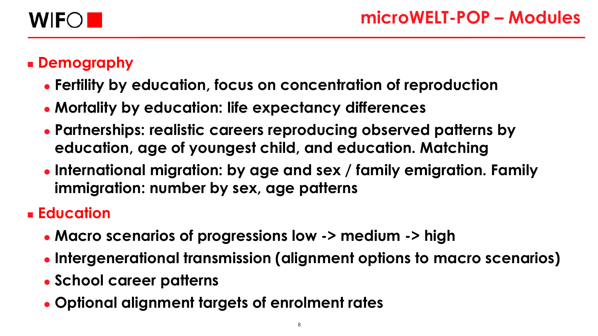

#### <sup>◼</sup> **Demography**

- ⚫ **Fertility by education, focus on concentration of reproduction**
- ⚫ **Mortality by education: life expectancy differences**
- ⚫ **Partnerships: realistic careers reproducing observed patterns by education, age of youngest child, and education. Matching**
- ⚫ **International migration: by age and sex / family emigration. Family immigration: number by sex, age patterns**

#### ■ **Education**

- ⚫ **Macro scenarios of progressions low -> medium -> high**
- ⚫ **Intergenerational transmission (alignment options to macro scenarios)**
- ⚫ **School career patterns**
- ⚫ **Optional alignment targets of enrolment rates**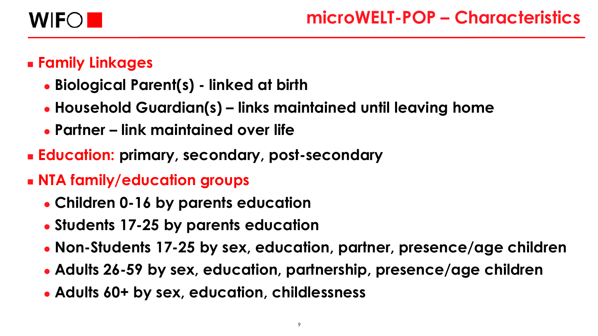

#### <sup>◼</sup> **Family Linkages**

- ⚫ **Biological Parent(s) - linked at birth**
- ⚫ **Household Guardian(s) – links maintained until leaving home**
- ⚫ **Partner – link maintained over life**
- <sup>◼</sup> **Education: primary, secondary, post-secondary**
- <sup>◼</sup> **NTA family/education groups**
	- ⚫ **Children 0-16 by parents education**
	- ⚫ **Students 17-25 by parents education**
	- ⚫ **Non-Students 17-25 by sex, education, partner, presence/age children**
	- ⚫ **Adults 26-59 by sex, education, partnership, presence/age children**
	- ⚫ **Adults 60+ by sex, education, childlessness**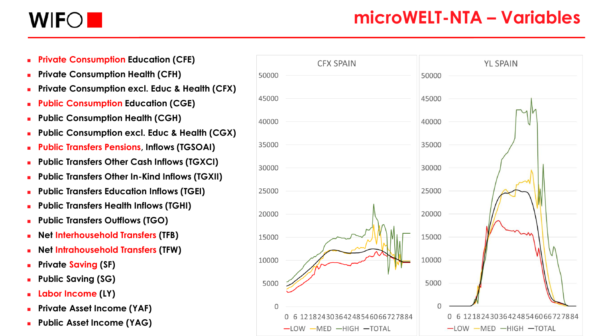

#### **microWELT-NTA – Variables**

- **Private Consumption Education (CFE)**
- **Private Consumption Health (CFH)**
- **Private Consumption excl. Educ & Health (CFX)**
- **Public Consumption Education (CGE)**
- Public Consumption Health (CGH)
- Public Consumption excl. Educ & Health (CGX)
- <sup>◼</sup> **Public Transfers Pensions, Inflows (TGSOAI)**
- Public Transfers Other Cash Inflows (TGXCI)
- <sup>◼</sup> **Public Transfers Other In-Kind Inflows (TGXII)**
- <sup>◼</sup> **Public Transfers Education Inflows (TGEI)**
- <sup>◼</sup> **Public Transfers Health Inflows (TGHI)**
- Public Transfers Outflows (TGO)
- <sup>◼</sup> **Net Interhousehold Transfers (TFB)**
- <sup>◼</sup> **Net Intrahousehold Transfers (TFW)**
- <sup>◼</sup> **Private Saving (SF)**
- <sup>◼</sup> **Public Saving (SG)**
- Labor Income (LY)
- <sup>◼</sup> **Private Asset Income (YAF)**
- <sup>◼</sup> **Public Asset Income (YAG)**

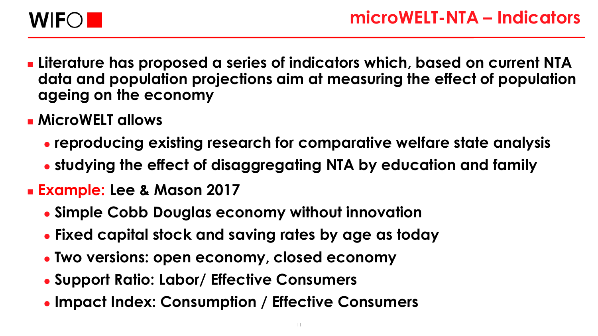

- <sup>◼</sup> **Literature has proposed a series of indicators which, based on current NTA data and population projections aim at measuring the effect of population ageing on the economy**
- <sup>◼</sup> **MicroWELT allows** 
	- ⚫ **reproducing existing research for comparative welfare state analysis**
	- ⚫ **studying the effect of disaggregating NTA by education and family**
- **Example: Lee & Mason 2017** 
	- ⚫ **Simple Cobb Douglas economy without innovation**
	- ⚫ **Fixed capital stock and saving rates by age as today**
	- ⚫ **Two versions: open economy, closed economy**
	- ⚫ **Support Ratio: Labor/ Effective Consumers**
	- ⚫ **Impact Index: Consumption / Effective Consumers**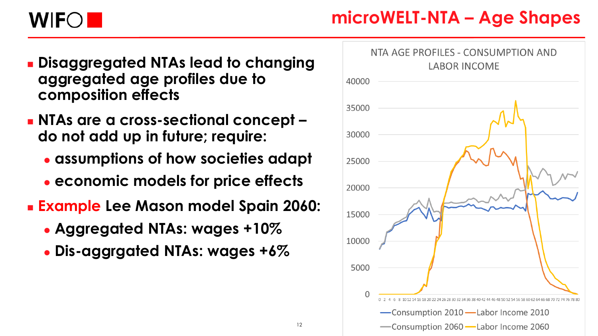

- <sup>◼</sup> **Disaggregated NTAs lead to changing aggregated age profiles due to composition effects**
- <sup>◼</sup> **NTAs are a cross-sectional concept – do not add up in future; require:**
	- ⚫ **assumptions of how societies adapt**
	- ⚫ **economic models for price effects**
- <sup>◼</sup> **Example Lee Mason model Spain 2060:**
	- ⚫ **Aggregated NTAs: wages +10%**
	- ⚫ **Dis-aggrgated NTAs: wages +6%**

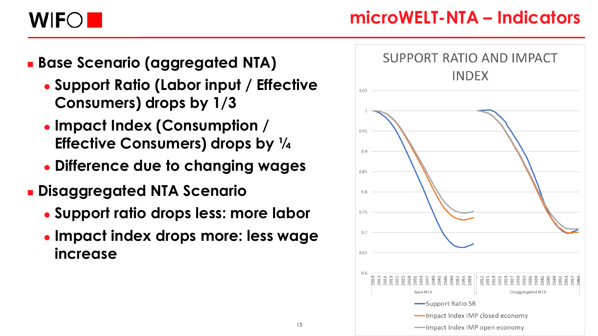

- <sup>◼</sup> **Base Scenario (aggregated NTA)**
	- ⚫ **Support Ratio (Labor input / Effective Consumers) drops by 1/3**
	- ⚫ **Impact Index (Consumption / Effective Consumers) drops by ¼**
	- ⚫ **Difference due to changing wages**
- <sup>◼</sup> **Disaggregated NTA Scenario**
	- ⚫ **Support ratio drops less: more labor**
	- ⚫ **Impact index drops more: less wage increase**

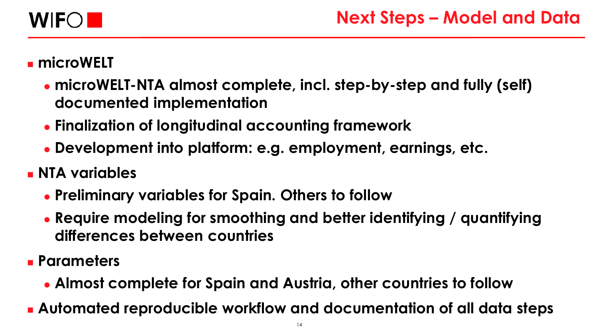

#### ■ **microWELT**

- ⚫ **microWELT-NTA almost complete, incl. step-by-step and fully (self) documented implementation**
- ⚫ **Finalization of longitudinal accounting framework**
- ⚫ **Development into platform: e.g. employment, earnings, etc.**

#### <sup>◼</sup> **NTA variables**

- ⚫ **Preliminary variables for Spain. Others to follow**
- ⚫ **Require modeling for smoothing and better identifying / quantifying differences between countries**
- <sup>◼</sup> **Parameters**
	- ⚫ **Almost complete for Spain and Austria, other countries to follow**
- Automated reproducible workflow and documentation of all data steps